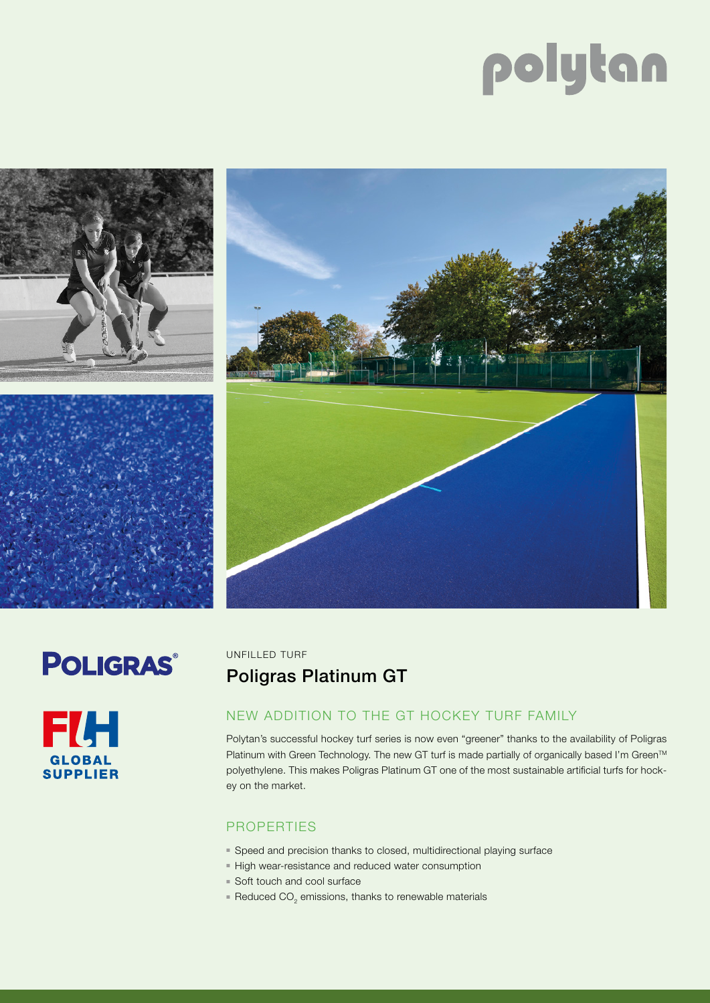# polytan









UNFILLED TURF

# Poligras Platinum GT

## NEW ADDITION TO THE GT HOCKEY TURF FAMILY

Polytan's successful hockey turf series is now even "greener" thanks to the availability of Poligras Platinum with Green Technology. The new GT turf is made partially of organically based I'm Green™ polyethylene. This makes Poligras Platinum GT one of the most sustainable artificial turfs for hockey on the market.

### PROPERTIES

- Speed and precision thanks to closed, multidirectional playing surface
- High wear-resistance and reduced water consumption
- Soft touch and cool surface
- $\blacksquare$  Reduced CO<sub>2</sub> emissions, thanks to renewable materials